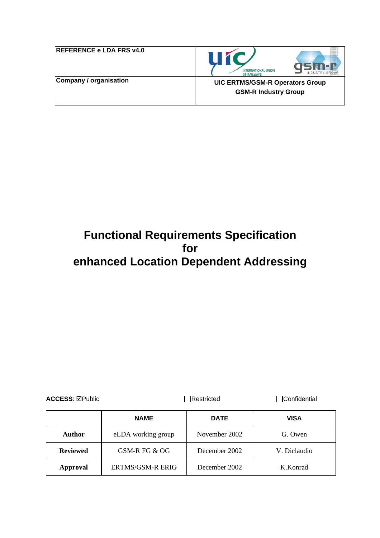| <b>REFERENCE e LDA FRS v4.0</b> |  |
|---------------------------------|--|
| Company / organisation          |  |



**GSM-R Industry Group** 

# **Functional Requirements Specification for enhanced Location Dependent Addressing**

| <b>ACCESS: ⊠Public</b> |                         | Restricted    | <b>Confidential</b> |  |
|------------------------|-------------------------|---------------|---------------------|--|
|                        | <b>NAME</b>             | <b>DATE</b>   | VISA                |  |
| Author                 | eLDA working group      | November 2002 | G. Owen             |  |
| <b>Reviewed</b>        | GSM-R FG & OG           | December 2002 | V. Diclaudio        |  |
| Approval               | <b>ERTMS/GSM-R ERIG</b> | December 2002 | K.Konrad            |  |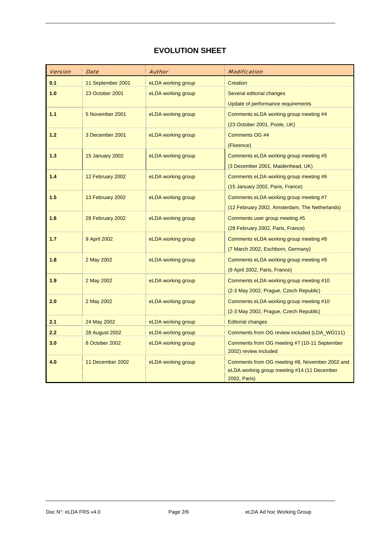## **EVOLUTION SHEET**

| <b>Version</b> | <b>Date</b>           | <b>Author</b>      | <b>Modification</b>                            |
|----------------|-----------------------|--------------------|------------------------------------------------|
| 0.1            | 11 September 2001     | eLDA working group | Creation                                       |
| 1.0            | 23 October 2001       | eLDA working group | Several editorial changes                      |
|                |                       |                    | Update of performance requirements             |
| 1.1            | 5 November 2001       | eLDA working group | Comments eLDA working group meeting #4         |
|                |                       |                    | (23 October 2001, Poole, UK)                   |
| 1.2            | 3 December 2001       | eLDA working group | Comments OG #4                                 |
|                |                       |                    | (Florence)                                     |
| 1.3            | 15 January 2002       | eLDA working group | Comments eLDA working group meeting #5         |
|                |                       |                    | (3 December 2001, Maidenhead, UK)              |
| 1.4            | 12 February 2002      | eLDA working group | Comments eLDA working group meeting #6         |
|                |                       |                    | (15 January 2002, Paris, France)               |
| 1.5            | 13 February 2002      | eLDA working group | Comments eLDA working group meeting #7         |
|                |                       |                    | (12 February 2002, Amsterdam, The Netherlands) |
| 1.6            | 28 February 2002      | eLDA working group | Comments user group meeting #5                 |
|                |                       |                    | (28 February 2002, Paris, France)              |
| 1.7            | 9 April 2002          | eLDA working group | Comments eLDA working group meeting #8         |
|                |                       |                    | (7 March 2002, Eschborn, Germany)              |
| 1.8            | 2 May 2002            | eLDA working group | Comments eLDA working group meeting #9         |
|                |                       |                    | (9 April 2002, Paris, France)                  |
| 1.9            | 2 May 2002            | eLDA working group | Comments eLDA working group meeting #10        |
|                |                       |                    | (2-3 May 2002, Prague, Czech Republic)         |
| 2.0            | 2 May 2002            | eLDA working group | Comments eLDA working group meeting #10        |
|                |                       |                    | (2-3 May 2002, Prague, Czech Republic)         |
| 2.1            | 24 May 2002           | eLDA working group | <b>Editorial changes</b>                       |
| 2.2            | <b>28 August 2002</b> | eLDA working group | Comments from OG review included (LDA_WG111)   |
| 3.0            | 8 October 2002        | eLDA working group | Comments from OG meeting #7 (10-11 September   |
|                |                       |                    | 2002) review included                          |
| 4.0            | 11 December 2002      | eLDA working group | Comments from OG meeting #8, November 2002 and |
|                |                       |                    | eLDA working group meeting #14 (11 December    |
|                |                       |                    | 2002, Paris)                                   |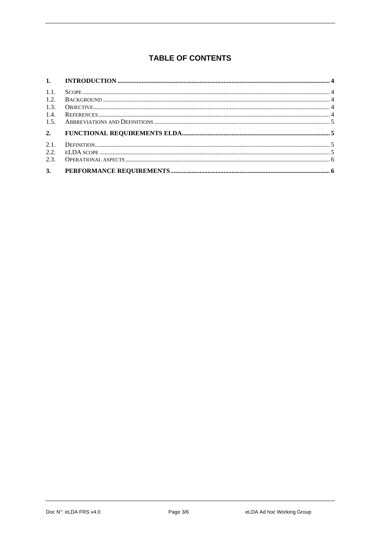## **TABLE OF CONTENTS**

| 1.1. |  |
|------|--|
| 1.2. |  |
| 1.3. |  |
| 1.4. |  |
| 1.5. |  |
|      |  |
| 2.   |  |
| 2.1. |  |
| 2.2. |  |
| 2.3. |  |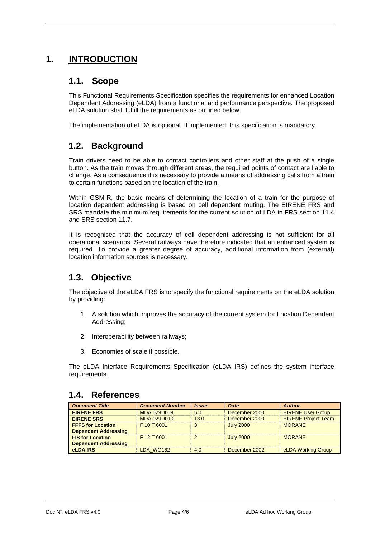## <span id="page-3-0"></span>**1. INTRODUCTION**

#### **1.1. Scope**

This Functional Requirements Specification specifies the requirements for enhanced Location Dependent Addressing (eLDA) from a functional and performance perspective. The proposed eLDA solution shall fulfill the requirements as outlined below.

The implementation of eLDA is optional. If implemented, this specification is mandatory.

## **1.2. Background**

Train drivers need to be able to contact controllers and other staff at the push of a single button. As the train moves through different areas, the required points of contact are liable to change. As a consequence it is necessary to provide a means of addressing calls from a train to certain functions based on the location of the train.

Within GSM-R, the basic means of determining the location of a train for the purpose of location dependent addressing is based on cell dependent routing. The EIRENE FRS and SRS mandate the minimum requirements for the current solution of LDA in FRS section 11.4 and SRS section 11.7.

It is recognised that the accuracy of cell dependent addressing is not sufficient for all operational scenarios. Several railways have therefore indicated that an enhanced system is required. To provide a greater degree of accuracy, additional information from (external) location information sources is necessary.

## **1.3. Objective**

The objective of the eLDA FRS is to specify the functional requirements on the eLDA solution by providing:

- 1. A solution which improves the accuracy of the current system for Location Dependent Addressing;
- 2. Interoperability between railways;
- 3. Economies of scale if possible.

The eLDA Interface Requirements Specification (eLDA IRS) defines the system interface requirements.

#### **1.4. References**

| <b>Document Title</b>       | <b>Document Number</b> | <i><b>Issue</b></i> | <b>Date</b>      | <b>Author</b>              |
|-----------------------------|------------------------|---------------------|------------------|----------------------------|
| <b>EIRENE FRS</b>           | MDA 029D009            | 5.0                 | December 2000    | <b>EIRENE User Group</b>   |
| <b>EIRENE SRS</b>           | MDA 029D010            | 13.0                | December 2000    | <b>EIRENE Project Team</b> |
| <b>FFFS for Location</b>    | F 10 T 6001            | 3                   | <b>July 2000</b> | <b>MORANE</b>              |
| <b>Dependent Addressing</b> |                        |                     |                  |                            |
| <b>FIS for Location</b>     | F 12 T 6001            | $\mathcal{P}$       | <b>July 2000</b> | <b>MORANE</b>              |
| <b>Dependent Addressing</b> |                        |                     |                  |                            |
| eLDA IRS                    | LDA WG162              | 4.0                 | December 2002    | eLDA Working Group         |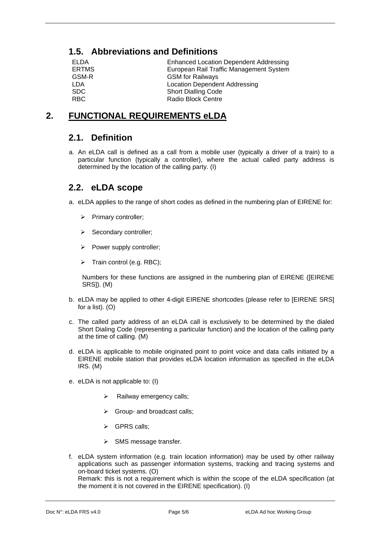## <span id="page-4-0"></span>**1.5. Abbreviations and Definitions**

| ELDA         | <b>Enhanced Location Dependent Addressing</b> |
|--------------|-----------------------------------------------|
| <b>ERTMS</b> | European Rail Traffic Management System       |
| GSM-R        | <b>GSM</b> for Railways                       |
| LDA          | <b>Location Dependent Addressing</b>          |
| <b>SDC</b>   | <b>Short Dialling Code</b>                    |
| RBC          | <b>Radio Block Centre</b>                     |

## **2. FUNCTIONAL REQUIREMENTS eLDA**

#### **2.1. Definition**

a. An eLDA call is defined as a call from a mobile user (typically a driver of a train) to a particular function (typically a controller), where the actual called party address is determined by the location of the calling party. (I)

#### **2.2. eLDA scope**

- a. eLDA applies to the range of short codes as defined in the numbering plan of EIRENE for:
	- ¾ Primary controller;
	- $\triangleright$  Secondary controller;
	- $\triangleright$  Power supply controller;
	- ¾ Train control (e.g. RBC);

Numbers for these functions are assigned in the numbering plan of EIRENE ([EIRENE SRS]). (M)

- b. eLDA may be applied to other 4-digit EIRENE shortcodes (please refer to [EIRENE SRS] for a list). (O)
- c. The called party address of an eLDA call is exclusively to be determined by the dialed Short Dialing Code (representing a particular function) and the location of the calling party at the time of calling. (M)
- d. eLDA is applicable to mobile originated point to point voice and data calls initiated by a EIRENE mobile station that provides eLDA location information as specified in the eLDA IRS. (M)
- e. eLDA is not applicable to: (I)
	- Railway emergency calls:
	- $\triangleright$  Group- and broadcast calls;
	- ¾ GPRS calls;
	- $\triangleright$  SMS message transfer.
- f. eLDA system information (e.g. train location information) may be used by other railway applications such as passenger information systems, tracking and tracing systems and on-board ticket systems. (O)

Remark: this is not a requirement which is within the scope of the eLDA specification (at the moment it is not covered in the EIRENE specification). (I)